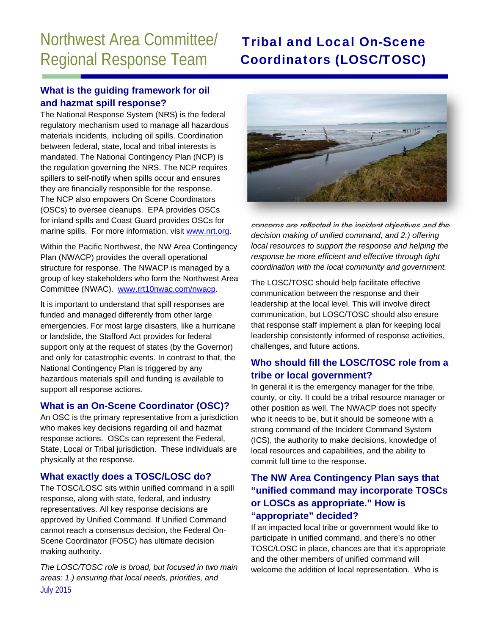# Northwest Area Committee/ Regional Response Team

## Tribal and Local On-Scene Coordinators (LOSC/TOSC)

#### **What is the guiding framework for oil and hazmat spill response?**

The National Response System (NRS) is the federal regulatory mechanism used to manage all hazardous materials incidents, including oil spills. Coordination between federal, state, local and tribal interests is mandated. The National Contingency Plan (NCP) is the regulation governing the NRS. The NCP requires spillers to self-notify when spills occur and ensures they are financially responsible for the response. The NCP also empowers On Scene Coordinators (OSCs) to oversee cleanups. EPA provides OSCs for inland spills and Coast Guard provides OSCs for marine spills. For more information, visit www.nrt.org.

Within the Pacific Northwest, the NW Area Contingency Plan (NWACP) provides the overall operational structure for response. The NWACP is managed by a group of key stakeholders who form the Northwest Area Committee (NWAC). www.rrt10nwac.com/nwacp.

It is important to understand that spill responses are funded and managed differently from other large emergencies. For most large disasters, like a hurricane or landslide, the Stafford Act provides for federal support only at the request of states (by the Governor) and only for catastrophic events. In contrast to that, the National Contingency Plan is triggered by any hazardous materials spill and funding is available to support all response actions.

#### **What is an On-Scene Coordinator (OSC)?**

An OSC is the primary representative from a jurisdiction who makes key decisions regarding oil and hazmat response actions. OSCs can represent the Federal, State, Local or Tribal jurisdiction. These individuals are physically at the response.

#### **What exactly does a TOSC/LOSC do?**

The TOSC/LOSC sits within unified command in a spill response, along with state, federal, and industry representatives. All key response decisions are approved by Unified Command. If Unified Command cannot reach a consensus decision, the Federal On-Scene Coordinator (FOSC) has ultimate decision making authority.

July 2015 *The LOSC/TOSC role is broad, but focused in two main areas: 1.) ensuring that local needs, priorities, and* 



*concerns are reflected in the incident objectives and the decision making of unified command, and 2.) offering local resources to support the response and helping the response be more efficient and effective through tight coordination with the local community and government.* 

The LOSC/TOSC should help facilitate effective communication between the response and their leadership at the local level. This will involve direct communication, but LOSC/TOSC should also ensure that response staff implement a plan for keeping local leadership consistently informed of response activities, challenges, and future actions.

### **Who should fill the LOSC/TOSC role from a tribe or local government?**

In general it is the emergency manager for the tribe, county, or city. It could be a tribal resource manager or other position as well. The NWACP does not specify who it needs to be, but it should be someone with a strong command of the Incident Command System (ICS), the authority to make decisions, knowledge of local resources and capabilities, and the ability to commit full time to the response.

#### **The NW Area Contingency Plan says that "unified command may incorporate TOSCs or LOSCs as appropriate." How is "appropriate" decided?**

If an impacted local tribe or government would like to participate in unified command, and there's no other TOSC/LOSC in place, chances are that it's appropriate and the other members of unified command will welcome the addition of local representation. Who is